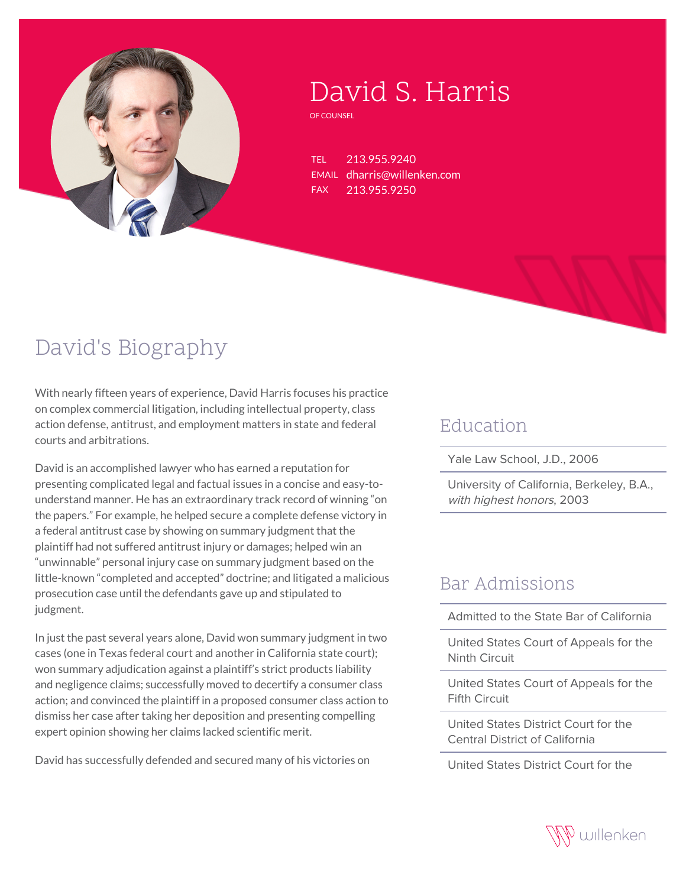

# David S. Harris

OF COUNSEL

TEL 213.955.9240 EMAIL dharris@willenken.com FAX 213.955.9250

## David's Biography

With nearly fifteen years of experience, David Harris focuses his practice on complex commercial litigation, including intellectual property, class action defense, antitrust, and employment matters in state and federal courts and arbitrations.

David is an accomplished lawyer who has earned a reputation for presenting complicated legal and factual issues in a concise and easy-tounderstand manner. He has an extraordinary track record of winning "on the papers." For example, he helped secure a complete defense victory in a federal antitrust case by showing on summary judgment that the plaintiff had not suffered antitrust injury or damages; helped win an "unwinnable" personal injury case on summary judgment based on the little-known "completed and accepted" doctrine; and litigated a malicious prosecution case until the defendants gave up and stipulated to judgment.

In just the past several years alone, David won summary judgment in two cases (one in Texas federal court and another in California state court); won summary adjudication against a plaintiff's strict products liability and negligence claims; successfully moved to decertify a consumer class action; and convinced the plaintiff in a proposed consumer class action to dismiss her case after taking her deposition and presenting compelling expert opinion showing her claims lacked scientific merit.

David has successfully defended and secured many of his victories on

#### Education

Yale Law School, J.D., 2006

University of California, Berkeley, B.A., with highest honors, 2003

#### Bar Admissions

Admitted to the State Bar of California

United States Court of Appeals for the Ninth Circuit

United States Court of Appeals for the Fifth Circuit

United States District Court for the Central District of California

United States District Court for the

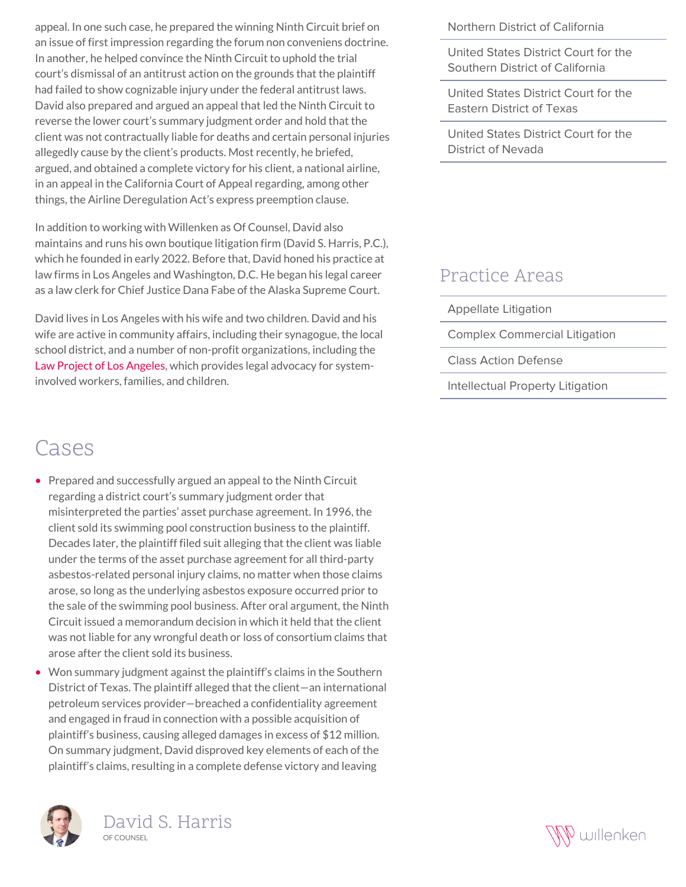appeal. In one such case, he prepared the winning Ninth Circuit brief on an issue of first impression regarding the forum non conveniens doctrine. In another, he helped convince the Ninth Circuit to uphold the trial court's dismissal of an antitrust action on the grounds that the plaintiff had failed to show cognizable injury under the federal antitrust laws. David also prepared and argued an appeal that led the Ninth Circuit to reverse the lower court's summary judgment order and hold that the client was not contractually liable for deaths and certain personal injuries allegedly cause by the client's products. Most recently, he briefed, argued, and obtained a complete victory for his client, a national airline, in an appeal in the California Court of Appeal regarding, among other things, the Airline Deregulation Act's express preemption clause.

In addition to working with Willenken as Of Counsel, David also maintains and runs his own boutique litigation firm (David S. Harris, P.C.), which he founded in early 2022. Before that, David honed his practice at law firms in Los Angeles and Washington, D.C. He began his legal career as a law clerk for Chief Justice Dana Fabe of the Alaska Supreme Court.

David lives in Los Angeles with his wife and two children. David and his wife are active in community affairs, including their synagogue, the local school district, and a number of non-profit organizations, including the [Law Project of Los Angeles](https://www.lawprojectla.org/), which provides legal advocacy for systeminvolved workers, families, and children.

### Cases

- Prepared and successfully argued an appeal to the Ninth Circuit regarding a district court's summary judgment order that misinterpreted the parties' asset purchase agreement. In 1996, the client sold its swimming pool construction business to the plaintiff. Decades later, the plaintiff filed suit alleging that the client was liable under the terms of the asset purchase agreement for all third-party asbestos-related personal injury claims, no matter when those claims arose, so long as the underlying asbestos exposure occurred prior to the sale of the swimming pool business. After oral argument, the Ninth Circuit issued a memorandum decision in which it held that the client was not liable for any wrongful death or loss of consortium claims that arose after the client sold its business.
- Won summary judgment against the plaintiff's claims in the Southern District of Texas. The plaintiff alleged that the client—an international petroleum services provider—breached a confidentiality agreement and engaged in fraud in connection with a possible acquisition of plaintiff's business, causing alleged damages in excess of \$12 million. On summary judgment, David disproved key elements of each of the plaintiff's claims, resulting in a complete defense victory and leaving





Northern District of California

United States District Court for the Southern District of California

United States District Court for the Eastern District of Texas

United States District Court for the District of Nevada

#### Practice Areas

- Appellate Litigation
- Complex Commercial Litigation
- Class Action Defense
- Intellectual Property Litigation

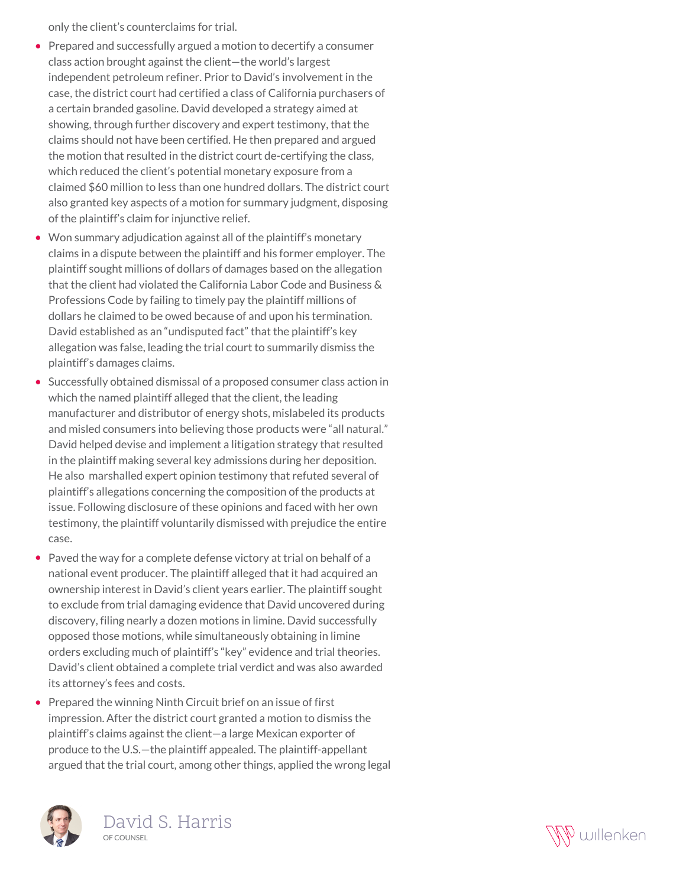only the client's counterclaims for trial.

- Prepared and successfully argued a motion to decertify a consumer class action brought against the client—the world's largest independent petroleum refiner. Prior to David's involvement in the case, the district court had certified a class of California purchasers of a certain branded gasoline. David developed a strategy aimed at showing, through further discovery and expert testimony, that the claims should not have been certified. He then prepared and argued the motion that resulted in the district court de-certifying the class, which reduced the client's potential monetary exposure from a claimed \$60 million to less than one hundred dollars. The district court also granted key aspects of a motion for summary judgment, disposing of the plaintiff's claim for injunctive relief.
- Won summary adjudication against all of the plaintiff's monetary claims in a dispute between the plaintiff and his former employer. The plaintiff sought millions of dollars of damages based on the allegation that the client had violated the California Labor Code and Business & Professions Code by failing to timely pay the plaintiff millions of dollars he claimed to be owed because of and upon his termination. David established as an "undisputed fact" that the plaintiff's key allegation was false, leading the trial court to summarily dismiss the plaintiff's damages claims.
- Successfully obtained dismissal of a proposed consumer class action in which the named plaintiff alleged that the client, the leading manufacturer and distributor of energy shots, mislabeled its products and misled consumers into believing those products were "all natural." David helped devise and implement a litigation strategy that resulted in the plaintiff making several key admissions during her deposition. He also marshalled expert opinion testimony that refuted several of plaintiff's allegations concerning the composition of the products at issue. Following disclosure of these opinions and faced with her own testimony, the plaintiff voluntarily dismissed with prejudice the entire case.
- Paved the way for a complete defense victory at trial on behalf of a national event producer. The plaintiff alleged that it had acquired an ownership interest in David's client years earlier. The plaintiff sought to exclude from trial damaging evidence that David uncovered during discovery, filing nearly a dozen motions in limine. David successfully opposed those motions, while simultaneously obtaining in limine orders excluding much of plaintiff's "key" evidence and trial theories. David's client obtained a complete trial verdict and was also awarded its attorney's fees and costs.
- Prepared the winning Ninth Circuit brief on an issue of first impression. After the district court granted a motion to dismiss the plaintiff's claims against the client—a large Mexican exporter of produce to the U.S.—the plaintiff appealed. The plaintiff-appellant argued that the trial court, among other things, applied the wrong legal